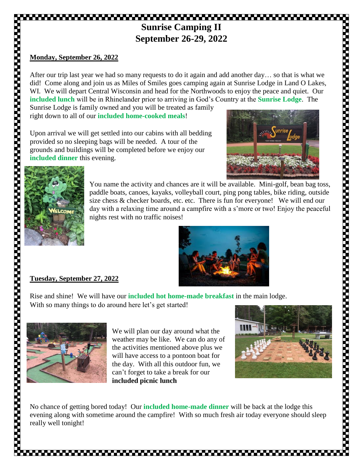# **Sunrise Camping II September 26-29, 2022**

## **Monday, September 26, 2022**

After our trip last year we had so many requests to do it again and add another day… so that is what we did! Come along and join us as Miles of Smiles goes camping again at Sunrise Lodge in Land O Lakes, WI. We will depart Central Wisconsin and head for the Northwoods to enjoy the peace and quiet. Our **included lunch** will be in Rhinelander prior to arriving in God's Country at the **Sunrise Lodge**. The

Sunrise Lodge is family owned and you will be treated as family right down to all of our **included home-cooked meals**!

Upon arrival we will get settled into our cabins with all bedding provided so no sleeping bags will be needed. A tour of the grounds and buildings will be completed before we enjoy our **included dinner** this evening.





You name the activity and chances are it will be available. Mini-golf, bean bag toss, paddle boats, canoes, kayaks, volleyball court, ping pong tables, bike riding, outside size chess & checker boards, etc. etc. There is fun for everyone! We will end our day with a relaxing time around a campfire with a s'more or two! Enjoy the peaceful nights rest with no traffic noises!



# **Tuesday, September 27, 2022**

Rise and shine! We will have our **included hot home-made breakfast** in the main lodge. With so many things to do around here let's get started!



We will plan our day around what the weather may be like. We can do any of the activities mentioned above plus we will have access to a pontoon boat for the day. With all this outdoor fun, we can't forget to take a break for our **included picnic lunch**



1922 - 2022 - 2022 - 2022 - 2022 - 2022 - 2022 - 2022 - 2022 - 2022 - 2022 - 2022 - 2022 - 2022 - 2022 - 2022<br>2022 - 2022 - 2022 - 2022 - 2022 - 2022 - 2022 - 2022 - 2022 - 2022 - 2022 - 2022 - 2022 - 2022 - 2022 - 2022

No chance of getting bored today! Our **included home-made dinner** will be back at the lodge this evening along with sometime around the campfire! With so much fresh air today everyone should sleep really well tonight!